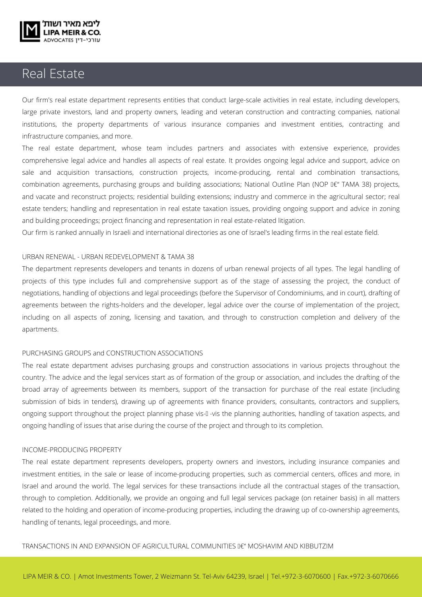

# Real Estate

Our firm's real estate department represents entities that conduct large-scale activities in real estate, including developers, large private investors, land and property owners, leading and veteran construction and contracting companies, national institutions, the property departments of various insurance companies and investment entities, contracting and infrastructure companies, and more.

The real estate department, whose team includes partners and associates with extensive experience, provides comprehensive legal advice and handles all aspects of real estate. It provides ongoing legal advice and support, advice on sale and acquisition transactions, construction projects, income-producing, rental and combination transactions, combination agreements, purchasing groups and building associations; National Outline Plan (NOP  $\text{AE}^n$  TAMA 38) projects, and vacate and reconstruct projects; residential building extensions; industry and commerce in the agricultural sector; real estate tenders; handling and representation in real estate taxation issues, providing ongoing support and advice in zoning and building proceedings; project financing and representation in real estate-related litigation.

Our firm is ranked annually in Israeli and international directories as one of Israel's leading firms in the real estate field.

#### URBAN RENEWAL - URBAN REDEVELOPMENT & TAMA 38

The department represents developers and tenants in dozens of urban renewal projects of all types. The legal handling of projects of this type includes full and comprehensive support as of the stage of assessing the project, the conduct of negotiations, handling of objections and legal proceedings (before the Supervisor of Condominiums, and in court), drafting of agreements between the rights-holders and the developer, legal advice over the course of implementation of the project, including on all aspects of zoning, licensing and taxation, and through to construction completion and delivery of the apartments.

#### PURCHASING GROUPS and CONSTRUCTION ASSOCIATIONS

The real estate department advises purchasing groups and construction associations in various projects throughout the country. The advice and the legal services start as of formation of the group or association, and includes the drafting of the broad array of agreements between its members, support of the transaction for purchase of the real estate (including submission of bids in tenders), drawing up of agreements with finance providers, consultants, contractors and suppliers, ongoing support throughout the project planning phase vis-Ã-vis the planning authorities, handling of taxation aspects, and ongoing handling of issues that arise during the course of the project and through to its completion.

#### INCOME-PRODUCING PROPERTY

The real estate department represents developers, property owners and investors, including insurance companies and investment entities, in the sale or lease of income-producing properties, such as commercial centers, offices and more, in Israel and around the world. The legal services for these transactions include all the contractual stages of the transaction, through to completion. Additionally, we provide an ongoing and full legal services package (on retainer basis) in all matters related to the holding and operation of income-producing properties, including the drawing up of co-ownership agreements, handling of tenants, legal proceedings, and more.

TRANSACTIONS IN AND EXPANSION OF AGRICULTURAL COMMUNITIES  $\hat{\bm{x}}$ " MOSHAVIM AND KIBBUTZIM